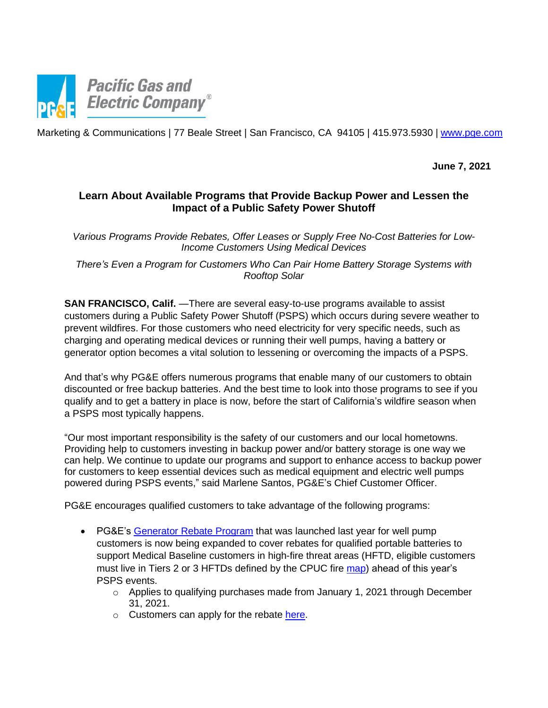

Marketing & Communications | 77 Beale Street | San Francisco, CA 94105 | 415.973.5930 | www.pge.com

**June 7, 2021**

## **Learn About Available Programs that Provide Backup Power and Lessen the Impact of a Public Safety Power Shutoff**

*Various Programs Provide Rebates, Offer Leases or Supply Free No-Cost Batteries for Low-Income Customers Using Medical Devices*

*There's Even a Program for Customers Who Can Pair Home Battery Storage Systems with Rooftop Solar*

**SAN FRANCISCO, Calif.** —There are several easy-to-use programs available to assist customers during a Public Safety Power Shutoff (PSPS) which occurs during severe weather to prevent wildfires. For those customers who need electricity for very specific needs, such as charging and operating medical devices or running their well pumps, having a battery or generator option becomes a vital solution to lessening or overcoming the impacts of a PSPS.

And that's why PG&E offers numerous programs that enable many of our customers to obtain discounted or free backup batteries. And the best time to look into those programs to see if you qualify and to get a battery in place is now, before the start of California's wildfire season when a PSPS most typically happens.

"Our most important responsibility is the safety of our customers and our local hometowns. Providing help to customers investing in backup power and/or battery storage is one way we can help. We continue to update our programs and support to enhance access to backup power for customers to keep essential devices such as medical equipment and electric well pumps powered during PSPS events," said Marlene Santos, PG&E's Chief Customer Officer.

PG&E encourages qualified customers to take advantage of the following programs:

- PG&E's [Generator Rebate Program](https://www.pge.com/pge_global/common/pdfs/safety/electrical-safety/electric-generator-safety/electric-generator-rebate-terms-conditions.pdf%20?) that was launched last year for well pump customers is now being expanded to cover rebates for qualified portable batteries to support Medical Baseline customers in high-fire threat areas (HFTD, eligible customers must live in Tiers 2 or 3 HFTDs defined by the CPUC fire [map\)](https://ia.cpuc.ca.gov/firemap/) ahead of this year's PSPS events.
	- $\circ$  Applies to qualifying purchases made from January 1, 2021 through December 31, 2021.
	- o Customers can apply for the rebate [here.](https://energyinsight.secure.force.com/eRebateApplication/?_ga=2.14537399.1672746236.1619472718-839245326.1614716835)